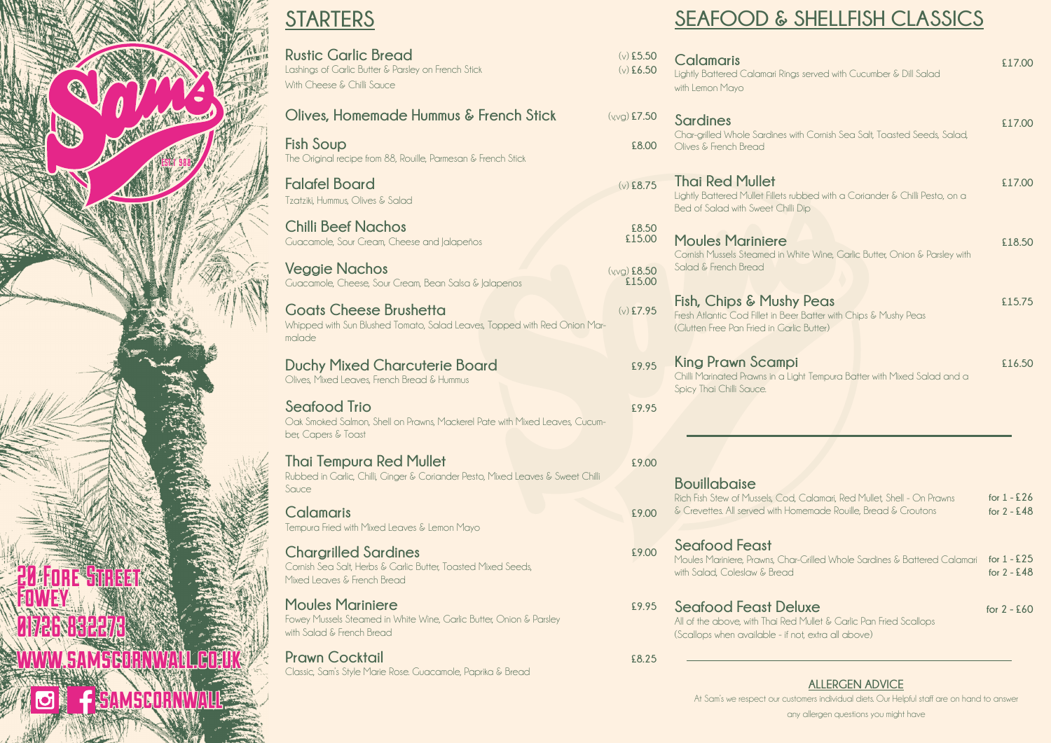

# **STARTERS**

**Rustic Garlic Bread**  Lashings of Garlic Butter & Parsley on French Stick With Cheese & Chilli Sauce

## **Olives, Homemade Hummus & French Stick Fish Soup** The Original recipe from 88, Rouille, Parmesan & French Stick

**Falafel Board** Tzatziki, Hummus, Olives & Salad

**Chilli Beef Nachos** Guacamole, Sour Cream, Cheese and Jalapeños

**Veggie Nachos** Guacamole, Cheese, Sour Cream, Bean Salsa & Jalapenos

**Goats Cheese Brushetta** Whipped with Sun Blushed Tomato, Salad Leaves, Topped with Red Onion Marmalade

(v) **£5.50** (v) **£6.50**  (v,vg) **£7.50 £8.00** (v) **£8.75 Calamaris** Lightly Battered Calamari Ring with Lemon Mayo **Sardines** Char-grilled Whole Sardines w Olives & French Bread **Thai Red Mullet** Lightly Battered Mullet Fillets ru

**Duchy Mixed Charcuterie Board** Olives, Mixed Leaves, French Bread & Hummus

> **£9.95 Seafood Feast De** All of the above, with Thai Red  $(Scallops when available - if n)$

**Seafood Trio** Oak Smoked Salmon, Shell on Prawns, Mackerel Pate with Mixed Leaves, Cucumber, Capers & Toast

**Thai Tempura Red Mullet** Rubbed in Garlic, Chilli, Ginger & Coriander Pesto, Mixed Leaves & Sweet Chilli Sauce

**Calamaris** Tempura Fried with Mixed Leaves & Lemon Mayo

**Chargrilled Sardines** Cornish Sea Salt, Herbs & Garlic Butter, Toasted Mixed Seeds, Mixed Leaves & French Bread

**Bouillabaise** Rich Fish Stew of Mussels, Cod,

& Crevettes. All served with Home

**Moules Mariniere** Fowey Mussels Steamed in White Wine, Garlic Butter, Onion & Parsley with Salad & French Bread

**Prawn Cocktail** Classic, Sam's Style Marie Rose. Guacamole, Paprika & Bread (v) **£7.95**

**£9.95**

**£9.95**

**£9.00**

**£9.00**

**Fish, Chips & Mushy** Fresh Atlantic Cod Fillet in Bee  $(C<sub>l</sub>$ utten Free Pan Fried in  $C<sub>l</sub>$ arl

Bed of Salad with Sweet Chill

**£8.25**

# **SEAFOOD & SHELLFISH CLASSICS**

**£8.50 £15.00** (v,vg) **£8.50 £15.00 Moules Mariniere**  Cornish Mussels Steamed in W Salad & French Bread

> **£9.00 Seafood Feast**  Moules Mariniere, Prawns, Cha with Salad, Coleslaw & Bread

**King Prawn Scampi** Chilli Marinated Prawns in a Lig Spicy Thai Chilli Sauce. 

| ys served with Cucumber & Dill Salad                      | £17.00 |
|-----------------------------------------------------------|--------|
| ith Cornish Sea Salt, Toasted Seeds, Salad,               | £17.00 |
| ubbed with a Coriander & Chilli Pesto, on a<br>Dip        | £17.00 |
| hite Wine, Garlic Butter, Onion & Parsley with            | £18.50 |
| y Peas<br>er Batter with Chips & Mushy Peas<br>ic Butter) | £15.75 |
| ght Tempura Batter with Mixed Salad and a                 | £16.50 |

| J, Calamari, Red Mullet, Shell - On Prawns<br>omemade Rouille, Bread & Croutons    | for $1 - 26$<br>for $2 - 248$ |
|------------------------------------------------------------------------------------|-------------------------------|
| ar-Grilled Whole Sardines & Battered Calamari                                      | for $1 - 25$<br>for $2 - 248$ |
| luxe <sup>.</sup><br>d Mullet & Garlic Pan Fried Scallops<br>hot, extra all above) | for $2 - £60$                 |

### **ALLERGEN ADVICE**

At Sam's we respect our customers individual diets. Our Helpful staff are on hand to answer any allergen questions you might have